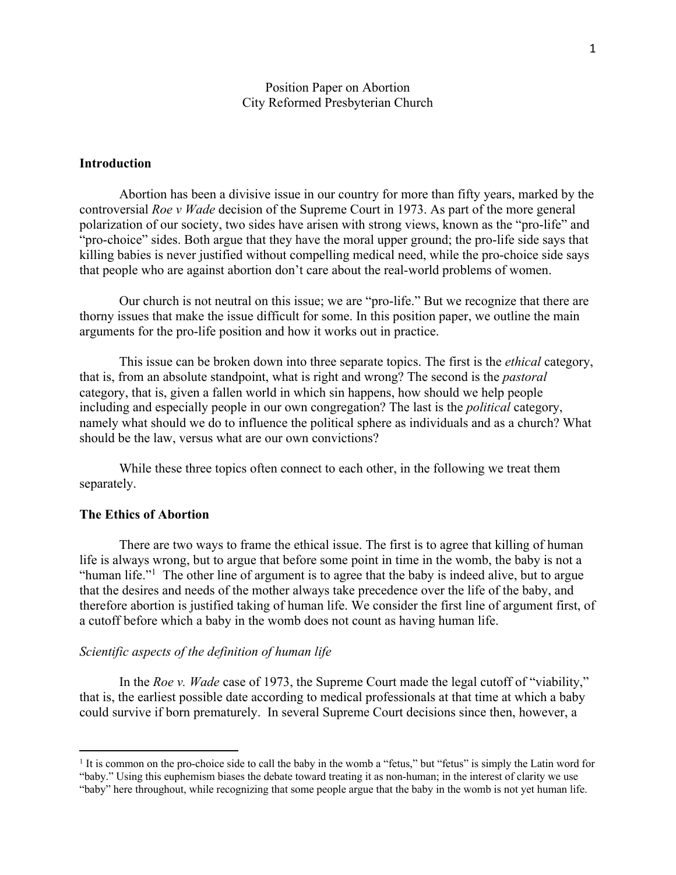# Position Paper on Abortion City Reformed Presbyterian Church

# **Introduction**

Abortion has been a divisive issue in our country for more than fifty years, marked by the controversial *Roe v Wade* decision of the Supreme Court in 1973. As part of the more general polarization of our society, two sides have arisen with strong views, known as the "pro-life" and "pro-choice" sides. Both argue that they have the moral upper ground; the pro-life side says that killing babies is never justified without compelling medical need, while the pro-choice side says that people who are against abortion don't care about the real-world problems of women.

Our church is not neutral on this issue; we are "pro-life." But we recognize that there are thorny issues that make the issue difficult for some. In this position paper, we outline the main arguments for the pro-life position and how it works out in practice.

This issue can be broken down into three separate topics. The first is the *ethical* category, that is, from an absolute standpoint, what is right and wrong? The second is the *pastoral*  category, that is, given a fallen world in which sin happens, how should we help people including and especially people in our own congregation? The last is the *political* category, namely what should we do to influence the political sphere as individuals and as a church? What should be the law, versus what are our own convictions?

While these three topics often connect to each other, in the following we treat them separately.

#### **The Ethics of Abortion**

There are two ways to frame the ethical issue. The first is to agree that killing of human life is always wrong, but to argue that before some point in time in the womb, the baby is not a "human life."<sup>1</sup> The other line of argument is to agree that the baby is indeed alive, but to argue that the desires and needs of the mother always take precedence over the life of the baby, and therefore abortion is justified taking of human life. We consider the first line of argument first, of a cutoff before which a baby in the womb does not count as having human life.

### *Scientific aspects of the definition of human life*

In the *Roe v. Wade* case of 1973, the Supreme Court made the legal cutoff of "viability," that is, the earliest possible date according to medical professionals at that time at which a baby could survive if born prematurely. In several Supreme Court decisions since then, however, a

 $<sup>1</sup>$  It is common on the pro-choice side to call the baby in the womb a "fetus," but "fetus" is simply the Latin word for</sup> "baby." Using this euphemism biases the debate toward treating it as non-human; in the interest of clarity we use "baby" here throughout, while recognizing that some people argue that the baby in the womb is not yet human life.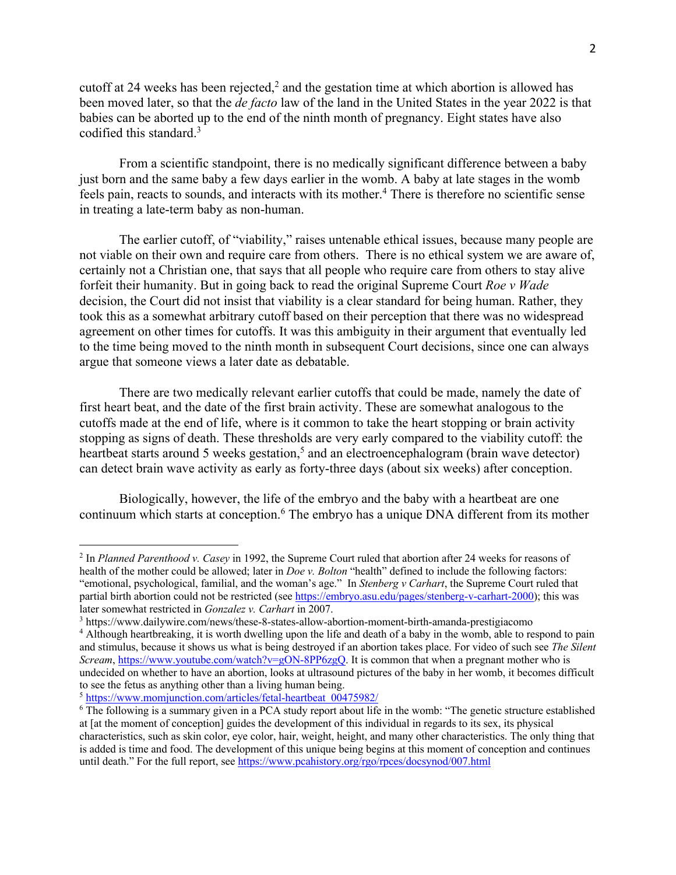cutoff at 24 weeks has been rejected, $2$  and the gestation time at which abortion is allowed has been moved later, so that the *de facto* law of the land in the United States in the year 2022 is that babies can be aborted up to the end of the ninth month of pregnancy. Eight states have also codified this standard.3

From a scientific standpoint, there is no medically significant difference between a baby just born and the same baby a few days earlier in the womb. A baby at late stages in the womb feels pain, reacts to sounds, and interacts with its mother.<sup>4</sup> There is therefore no scientific sense in treating a late-term baby as non-human.

The earlier cutoff, of "viability," raises untenable ethical issues, because many people are not viable on their own and require care from others. There is no ethical system we are aware of, certainly not a Christian one, that says that all people who require care from others to stay alive forfeit their humanity. But in going back to read the original Supreme Court *Roe v Wade* decision, the Court did not insist that viability is a clear standard for being human. Rather, they took this as a somewhat arbitrary cutoff based on their perception that there was no widespread agreement on other times for cutoffs. It was this ambiguity in their argument that eventually led to the time being moved to the ninth month in subsequent Court decisions, since one can always argue that someone views a later date as debatable.

There are two medically relevant earlier cutoffs that could be made, namely the date of first heart beat, and the date of the first brain activity. These are somewhat analogous to the cutoffs made at the end of life, where is it common to take the heart stopping or brain activity stopping as signs of death. These thresholds are very early compared to the viability cutoff: the heartbeat starts around 5 weeks gestation,<sup>5</sup> and an electroencephalogram (brain wave detector) can detect brain wave activity as early as forty-three days (about six weeks) after conception.

Biologically, however, the life of the embryo and the baby with a heartbeat are one continuum which starts at conception.6 The embryo has a unique DNA different from its mother

<sup>2</sup> In *Planned Parenthood v. Casey* in 1992, the Supreme Court ruled that abortion after 24 weeks for reasons of health of the mother could be allowed; later in *Doe v. Bolton* "health" defined to include the following factors: "emotional, psychological, familial, and the woman's age." In *Stenberg v Carhart*, the Supreme Court ruled that partial birth abortion could not be restricted (see https://embryo.asu.edu/pages/stenberg-v-carhart-2000); this was later somewhat restricted in *Gonzalez v. Carhart* in 2007.

<sup>3</sup> https://www.dailywire.com/news/these-8-states-allow-abortion-moment-birth-amanda-prestigiacomo

<sup>&</sup>lt;sup>4</sup> Although heartbreaking, it is worth dwelling upon the life and death of a baby in the womb, able to respond to pain and stimulus, because it shows us what is being destroyed if an abortion takes place. For video of such see *The Silent Scream*, https://www.youtube.com/watch?v=gON-8PP6zgQ. It is common that when a pregnant mother who is undecided on whether to have an abortion, looks at ultrasound pictures of the baby in her womb, it becomes difficult to see the fetus as anything other than a living human being.

<sup>5</sup> https://www.momjunction.com/articles/fetal-heartbeat\_00475982/

<sup>6</sup> The following is a summary given in a PCA study report about life in the womb: "The genetic structure established at [at the moment of conception] guides the development of this individual in regards to its sex, its physical characteristics, such as skin color, eye color, hair, weight, height, and many other characteristics. The only thing that is added is time and food. The development of this unique being begins at this moment of conception and continues until death." For the full report, see https://www.pcahistory.org/rgo/rpces/docsynod/007.html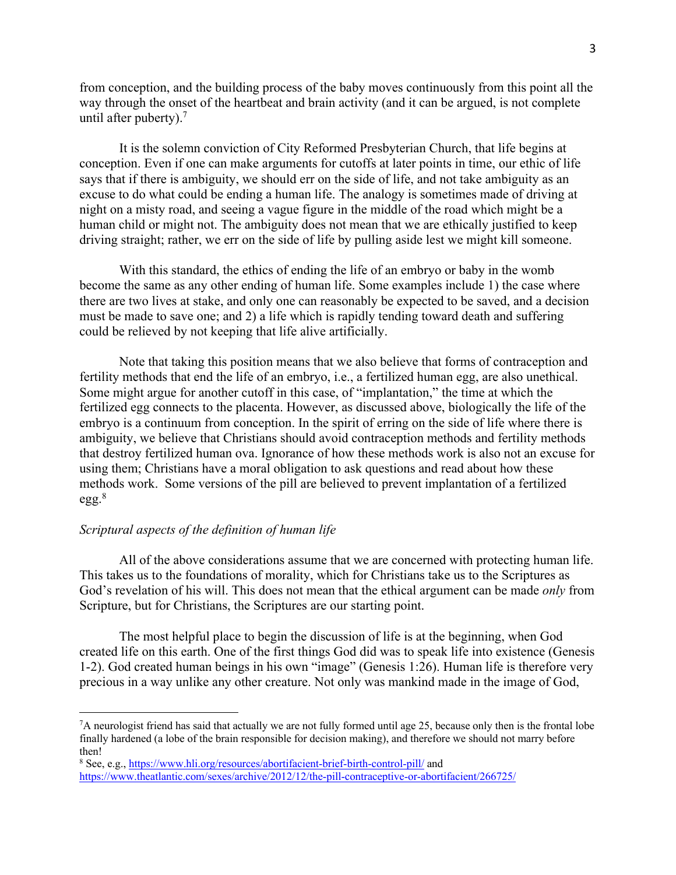from conception, and the building process of the baby moves continuously from this point all the way through the onset of the heartbeat and brain activity (and it can be argued, is not complete until after puberty). $<sup>7</sup>$ </sup>

It is the solemn conviction of City Reformed Presbyterian Church, that life begins at conception. Even if one can make arguments for cutoffs at later points in time, our ethic of life says that if there is ambiguity, we should err on the side of life, and not take ambiguity as an excuse to do what could be ending a human life. The analogy is sometimes made of driving at night on a misty road, and seeing a vague figure in the middle of the road which might be a human child or might not. The ambiguity does not mean that we are ethically justified to keep driving straight; rather, we err on the side of life by pulling aside lest we might kill someone.

With this standard, the ethics of ending the life of an embryo or baby in the womb become the same as any other ending of human life. Some examples include 1) the case where there are two lives at stake, and only one can reasonably be expected to be saved, and a decision must be made to save one; and 2) a life which is rapidly tending toward death and suffering could be relieved by not keeping that life alive artificially.

Note that taking this position means that we also believe that forms of contraception and fertility methods that end the life of an embryo, i.e., a fertilized human egg, are also unethical. Some might argue for another cutoff in this case, of "implantation," the time at which the fertilized egg connects to the placenta. However, as discussed above, biologically the life of the embryo is a continuum from conception. In the spirit of erring on the side of life where there is ambiguity, we believe that Christians should avoid contraception methods and fertility methods that destroy fertilized human ova. Ignorance of how these methods work is also not an excuse for using them; Christians have a moral obligation to ask questions and read about how these methods work. Some versions of the pill are believed to prevent implantation of a fertilized  $egg.^8$ 

# *Scriptural aspects of the definition of human life*

All of the above considerations assume that we are concerned with protecting human life. This takes us to the foundations of morality, which for Christians take us to the Scriptures as God's revelation of his will. This does not mean that the ethical argument can be made *only* from Scripture, but for Christians, the Scriptures are our starting point.

The most helpful place to begin the discussion of life is at the beginning, when God created life on this earth. One of the first things God did was to speak life into existence (Genesis 1-2). God created human beings in his own "image" (Genesis 1:26). Human life is therefore very precious in a way unlike any other creature. Not only was mankind made in the image of God,

<sup>7</sup> A neurologist friend has said that actually we are not fully formed until age 25, because only then is the frontal lobe finally hardened (a lobe of the brain responsible for decision making), and therefore we should not marry before then!

<sup>8</sup> See, e.g., https://www.hli.org/resources/abortifacient-brief-birth-control-pill/ and https://www.theatlantic.com/sexes/archive/2012/12/the-pill-contraceptive-or-abortifacient/266725/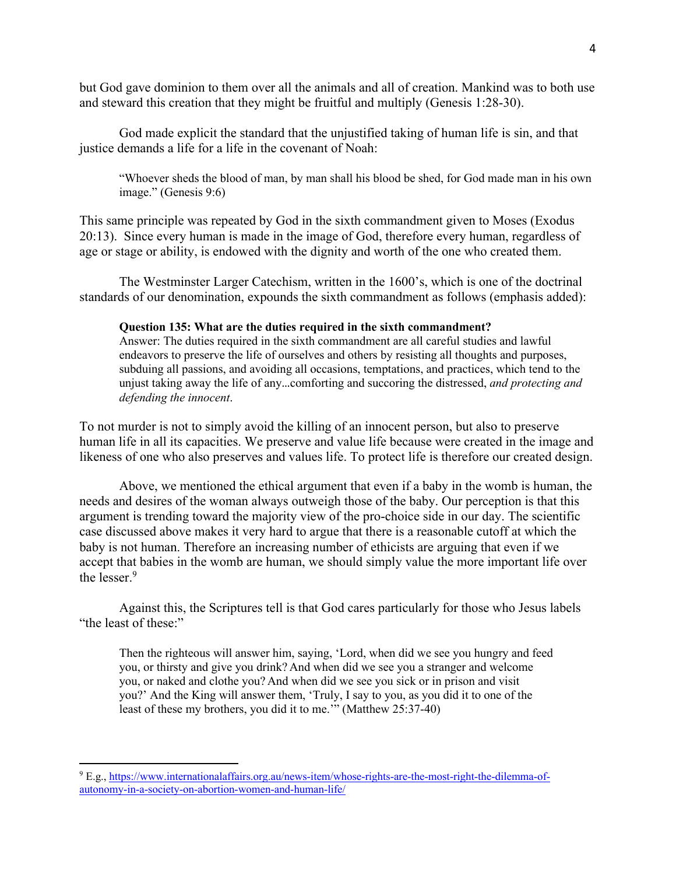but God gave dominion to them over all the animals and all of creation. Mankind was to both use and steward this creation that they might be fruitful and multiply (Genesis 1:28-30).

God made explicit the standard that the unjustified taking of human life is sin, and that justice demands a life for a life in the covenant of Noah:

"Whoever sheds the blood of man, by man shall his blood be shed, for God made man in his own image." (Genesis 9:6)

This same principle was repeated by God in the sixth commandment given to Moses (Exodus 20:13). Since every human is made in the image of God, therefore every human, regardless of age or stage or ability, is endowed with the dignity and worth of the one who created them.

The Westminster Larger Catechism, written in the 1600's, which is one of the doctrinal standards of our denomination, expounds the sixth commandment as follows (emphasis added):

#### **Question 135: What are the duties required in the sixth commandment?**

Answer: The duties required in the sixth commandment are all careful studies and lawful endeavors to preserve the life of ourselves and others by resisting all thoughts and purposes, subduing all passions, and avoiding all occasions, temptations, and practices, which tend to the unjust taking away the life of any…comforting and succoring the distressed, *and protecting and defending the innocent*.

To not murder is not to simply avoid the killing of an innocent person, but also to preserve human life in all its capacities. We preserve and value life because were created in the image and likeness of one who also preserves and values life. To protect life is therefore our created design.

Above, we mentioned the ethical argument that even if a baby in the womb is human, the needs and desires of the woman always outweigh those of the baby. Our perception is that this argument is trending toward the majority view of the pro-choice side in our day. The scientific case discussed above makes it very hard to argue that there is a reasonable cutoff at which the baby is not human. Therefore an increasing number of ethicists are arguing that even if we accept that babies in the womb are human, we should simply value the more important life over the lesser.9

Against this, the Scriptures tell is that God cares particularly for those who Jesus labels "the least of these:"

Then the righteous will answer him, saying, 'Lord, when did we see you hungry and feed you, or thirsty and give you drink? And when did we see you a stranger and welcome you, or naked and clothe you? And when did we see you sick or in prison and visit you?' And the King will answer them, 'Truly, I say to you, as you did it to one of the least of these my brothers, you did it to me.'" (Matthew 25:37-40)

<sup>9</sup> E.g., https://www.internationalaffairs.org.au/news-item/whose-rights-are-the-most-right-the-dilemma-ofautonomy-in-a-society-on-abortion-women-and-human-life/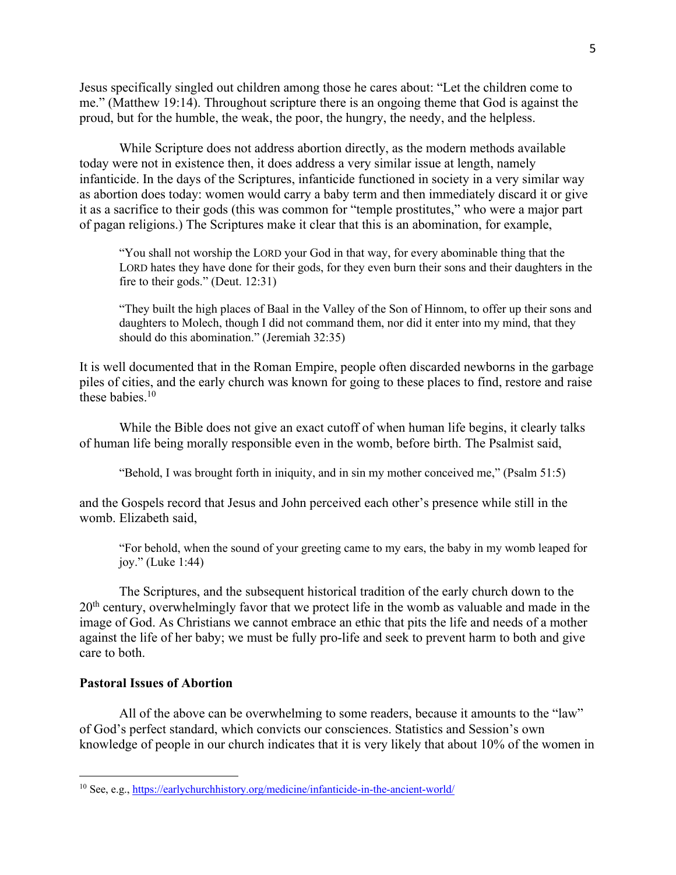Jesus specifically singled out children among those he cares about: "Let the children come to me." (Matthew 19:14). Throughout scripture there is an ongoing theme that God is against the proud, but for the humble, the weak, the poor, the hungry, the needy, and the helpless.

While Scripture does not address abortion directly, as the modern methods available today were not in existence then, it does address a very similar issue at length, namely infanticide. In the days of the Scriptures, infanticide functioned in society in a very similar way as abortion does today: women would carry a baby term and then immediately discard it or give it as a sacrifice to their gods (this was common for "temple prostitutes," who were a major part of pagan religions.) The Scriptures make it clear that this is an abomination, for example,

"You shall not worship the LORD your God in that way, for every abominable thing that the LORD hates they have done for their gods, for they even burn their sons and their daughters in the fire to their gods." (Deut. 12:31)

"They built the high places of Baal in the Valley of the Son of Hinnom, to offer up their sons and daughters to Molech, though I did not command them, nor did it enter into my mind, that they should do this abomination." (Jeremiah 32:35)

It is well documented that in the Roman Empire, people often discarded newborns in the garbage piles of cities, and the early church was known for going to these places to find, restore and raise these babies. $10$ 

While the Bible does not give an exact cutoff of when human life begins, it clearly talks of human life being morally responsible even in the womb, before birth. The Psalmist said,

"Behold, I was brought forth in iniquity, and in sin my mother conceived me," (Psalm 51:5)

and the Gospels record that Jesus and John perceived each other's presence while still in the womb. Elizabeth said,

"For behold, when the sound of your greeting came to my ears, the baby in my womb leaped for joy." (Luke 1:44)

The Scriptures, and the subsequent historical tradition of the early church down to the 20<sup>th</sup> century, overwhelmingly favor that we protect life in the womb as valuable and made in the image of God. As Christians we cannot embrace an ethic that pits the life and needs of a mother against the life of her baby; we must be fully pro-life and seek to prevent harm to both and give care to both.

# **Pastoral Issues of Abortion**

All of the above can be overwhelming to some readers, because it amounts to the "law" of God's perfect standard, which convicts our consciences. Statistics and Session's own knowledge of people in our church indicates that it is very likely that about 10% of the women in

<sup>10</sup> See, e.g., https://earlychurchhistory.org/medicine/infanticide-in-the-ancient-world/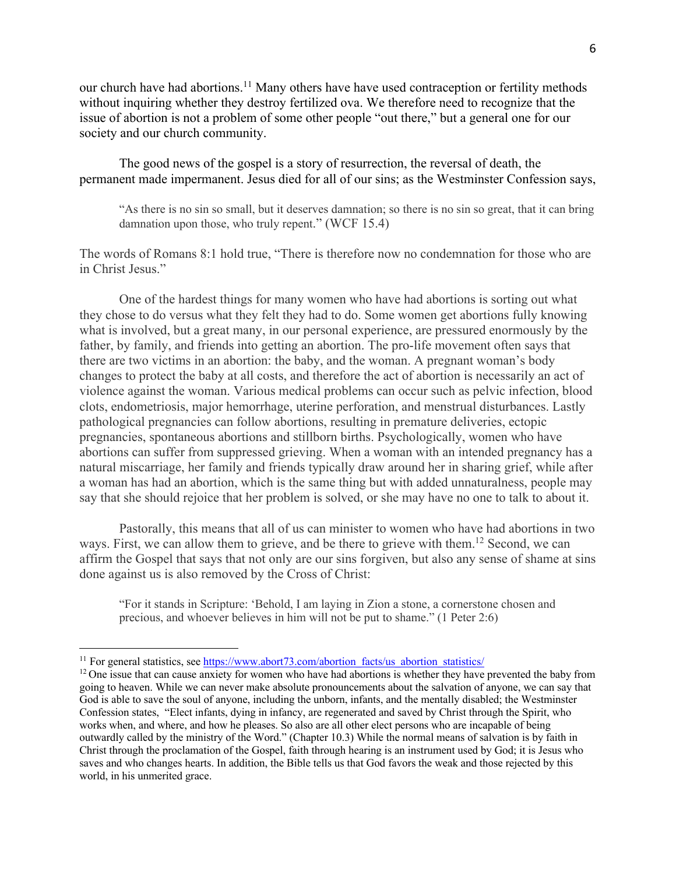our church have had abortions.<sup>11</sup> Many others have have used contraception or fertility methods without inquiring whether they destroy fertilized ova. We therefore need to recognize that the issue of abortion is not a problem of some other people "out there," but a general one for our society and our church community.

The good news of the gospel is a story of resurrection, the reversal of death, the permanent made impermanent. Jesus died for all of our sins; as the Westminster Confession says,

"As there is no sin so small, but it deserves damnation; so there is no sin so great, that it can bring damnation upon those, who truly repent." (WCF 15.4)

The words of Romans 8:1 hold true, "There is therefore now no condemnation for those who are in Christ Jesus."

One of the hardest things for many women who have had abortions is sorting out what they chose to do versus what they felt they had to do. Some women get abortions fully knowing what is involved, but a great many, in our personal experience, are pressured enormously by the father, by family, and friends into getting an abortion. The pro-life movement often says that there are two victims in an abortion: the baby, and the woman. A pregnant woman's body changes to protect the baby at all costs, and therefore the act of abortion is necessarily an act of violence against the woman. Various medical problems can occur such as pelvic infection, blood clots, endometriosis, major hemorrhage, uterine perforation, and menstrual disturbances. Lastly pathological pregnancies can follow abortions, resulting in premature deliveries, ectopic pregnancies, spontaneous abortions and stillborn births. Psychologically, women who have abortions can suffer from suppressed grieving. When a woman with an intended pregnancy has a natural miscarriage, her family and friends typically draw around her in sharing grief, while after a woman has had an abortion, which is the same thing but with added unnaturalness, people may say that she should rejoice that her problem is solved, or she may have no one to talk to about it.

Pastorally, this means that all of us can minister to women who have had abortions in two ways. First, we can allow them to grieve, and be there to grieve with them.12 Second, we can affirm the Gospel that says that not only are our sins forgiven, but also any sense of shame at sins done against us is also removed by the Cross of Christ:

"For it stands in Scripture: 'Behold, I am laying in Zion a stone, a cornerstone chosen and precious, and whoever believes in him will not be put to shame." (1 Peter 2:6)

<sup>&</sup>lt;sup>11</sup> For general statistics, see https://www.abort73.com/abortion\_facts/us\_abortion\_statistics/

<sup>&</sup>lt;sup>12</sup> One issue that can cause anxiety for women who have had abortions is whether they have prevented the baby from going to heaven. While we can never make absolute pronouncements about the salvation of anyone, we can say that God is able to save the soul of anyone, including the unborn, infants, and the mentally disabled; the Westminster Confession states, "Elect infants, dying in infancy, are regenerated and saved by Christ through the Spirit, who works when, and where, and how he pleases. So also are all other elect persons who are incapable of being outwardly called by the ministry of the Word." (Chapter 10.3) While the normal means of salvation is by faith in Christ through the proclamation of the Gospel, faith through hearing is an instrument used by God; it is Jesus who saves and who changes hearts. In addition, the Bible tells us that God favors the weak and those rejected by this world, in his unmerited grace.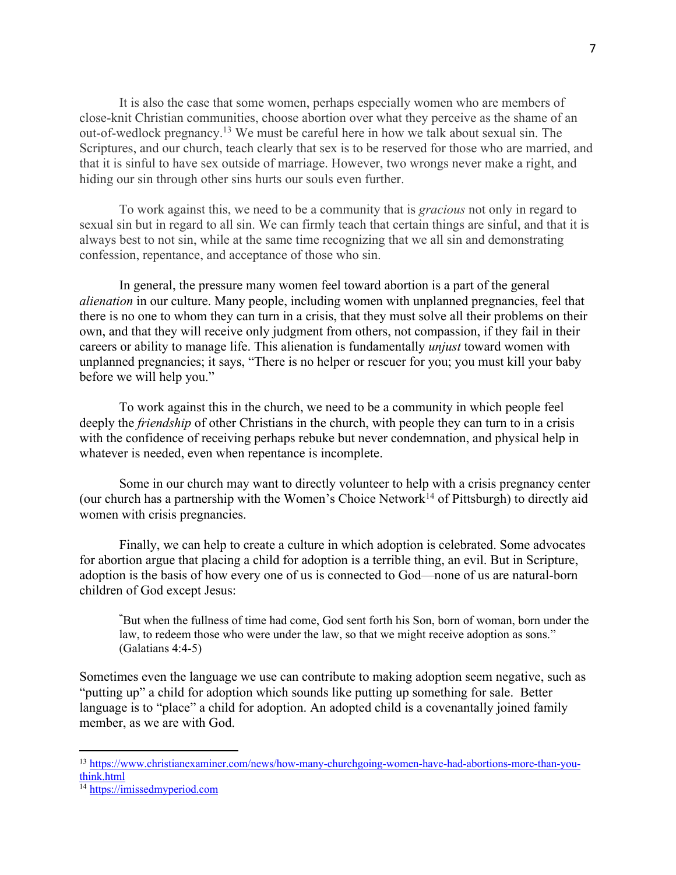It is also the case that some women, perhaps especially women who are members of close-knit Christian communities, choose abortion over what they perceive as the shame of an out-of-wedlock pregnancy.13 We must be careful here in how we talk about sexual sin. The Scriptures, and our church, teach clearly that sex is to be reserved for those who are married, and that it is sinful to have sex outside of marriage. However, two wrongs never make a right, and hiding our sin through other sins hurts our souls even further.

To work against this, we need to be a community that is *gracious* not only in regard to sexual sin but in regard to all sin. We can firmly teach that certain things are sinful, and that it is always best to not sin, while at the same time recognizing that we all sin and demonstrating confession, repentance, and acceptance of those who sin.

In general, the pressure many women feel toward abortion is a part of the general *alienation* in our culture. Many people, including women with unplanned pregnancies, feel that there is no one to whom they can turn in a crisis, that they must solve all their problems on their own, and that they will receive only judgment from others, not compassion, if they fail in their careers or ability to manage life. This alienation is fundamentally *unjust* toward women with unplanned pregnancies; it says, "There is no helper or rescuer for you; you must kill your baby before we will help you."

To work against this in the church, we need to be a community in which people feel deeply the *friendship* of other Christians in the church, with people they can turn to in a crisis with the confidence of receiving perhaps rebuke but never condemnation, and physical help in whatever is needed, even when repentance is incomplete.

Some in our church may want to directly volunteer to help with a crisis pregnancy center (our church has a partnership with the Women's Choice Network<sup>14</sup> of Pittsburgh) to directly aid women with crisis pregnancies.

Finally, we can help to create a culture in which adoption is celebrated. Some advocates for abortion argue that placing a child for adoption is a terrible thing, an evil. But in Scripture, adoption is the basis of how every one of us is connected to God—none of us are natural-born children of God except Jesus:

**"** But when the fullness of time had come, God sent forth his Son, born of woman, born under the law, to redeem those who were under the law, so that we might receive adoption as sons." (Galatians 4:4-5)

Sometimes even the language we use can contribute to making adoption seem negative, such as "putting up" a child for adoption which sounds like putting up something for sale. Better language is to "place" a child for adoption. An adopted child is a covenantally joined family member, as we are with God.

<sup>13</sup> https://www.christianexaminer.com/news/how-many-churchgoing-women-have-had-abortions-more-than-youthink.html

<sup>&</sup>lt;sup>14</sup> https://imissedmyperiod.com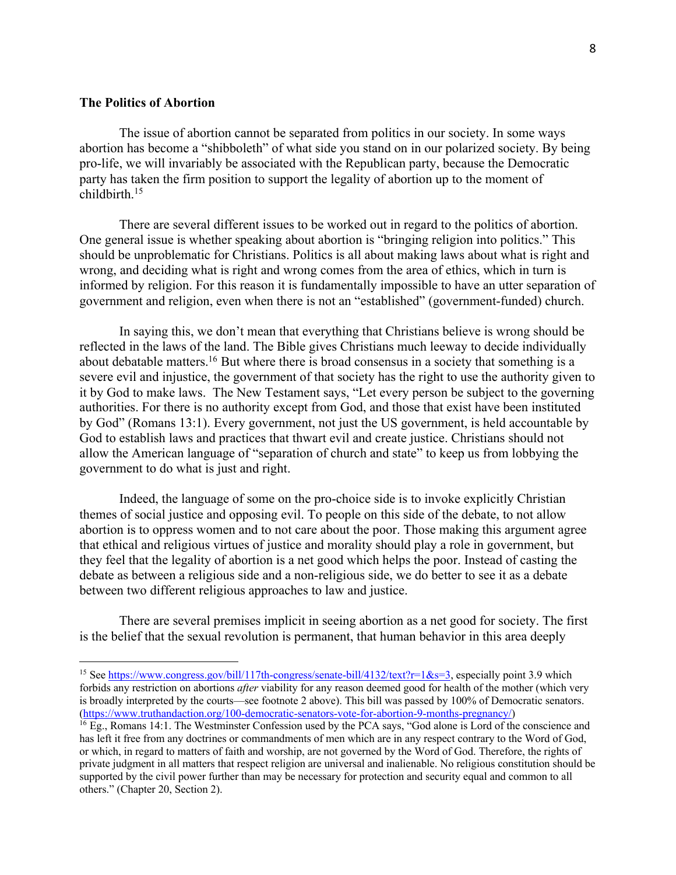# **The Politics of Abortion**

The issue of abortion cannot be separated from politics in our society. In some ways abortion has become a "shibboleth" of what side you stand on in our polarized society. By being pro-life, we will invariably be associated with the Republican party, because the Democratic party has taken the firm position to support the legality of abortion up to the moment of childbirth. 15

There are several different issues to be worked out in regard to the politics of abortion. One general issue is whether speaking about abortion is "bringing religion into politics." This should be unproblematic for Christians. Politics is all about making laws about what is right and wrong, and deciding what is right and wrong comes from the area of ethics, which in turn is informed by religion. For this reason it is fundamentally impossible to have an utter separation of government and religion, even when there is not an "established" (government-funded) church.

In saying this, we don't mean that everything that Christians believe is wrong should be reflected in the laws of the land. The Bible gives Christians much leeway to decide individually about debatable matters.16 But where there is broad consensus in a society that something is a severe evil and injustice, the government of that society has the right to use the authority given to it by God to make laws. The New Testament says, "Let every person be subject to the governing authorities. For there is no authority except from God, and those that exist have been instituted by God" (Romans 13:1). Every government, not just the US government, is held accountable by God to establish laws and practices that thwart evil and create justice. Christians should not allow the American language of "separation of church and state" to keep us from lobbying the government to do what is just and right.

Indeed, the language of some on the pro-choice side is to invoke explicitly Christian themes of social justice and opposing evil. To people on this side of the debate, to not allow abortion is to oppress women and to not care about the poor. Those making this argument agree that ethical and religious virtues of justice and morality should play a role in government, but they feel that the legality of abortion is a net good which helps the poor. Instead of casting the debate as between a religious side and a non-religious side, we do better to see it as a debate between two different religious approaches to law and justice.

There are several premises implicit in seeing abortion as a net good for society. The first is the belief that the sexual revolution is permanent, that human behavior in this area deeply

<sup>&</sup>lt;sup>15</sup> See https://www.congress.gov/bill/117th-congress/senate-bill/4132/text?r=1&s=3, especially point 3.9 which forbids any restriction on abortions *after* viability for any reason deemed good for health of the mother (which very is broadly interpreted by the courts—see footnote 2 above). This bill was passed by 100% of Democratic senators. (https://www.truthandaction.org/100-democratic-senators-vote-for-abortion-9-months-pregnancy/)

<sup>&</sup>lt;sup>16</sup> Eg., Romans 14:1. The Westminster Confession used by the PCA says, "God alone is Lord of the conscience and has left it free from any doctrines or commandments of men which are in any respect contrary to the Word of God, or which, in regard to matters of faith and worship, are not governed by the Word of God. Therefore, the rights of private judgment in all matters that respect religion are universal and inalienable. No religious constitution should be supported by the civil power further than may be necessary for protection and security equal and common to all others." (Chapter 20, Section 2).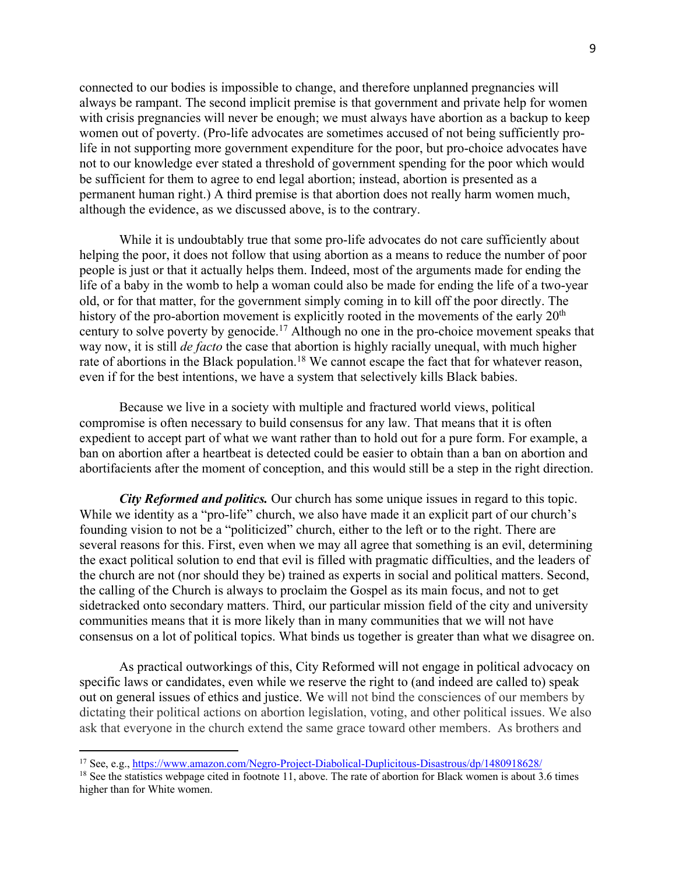connected to our bodies is impossible to change, and therefore unplanned pregnancies will always be rampant. The second implicit premise is that government and private help for women with crisis pregnancies will never be enough; we must always have abortion as a backup to keep women out of poverty. (Pro-life advocates are sometimes accused of not being sufficiently prolife in not supporting more government expenditure for the poor, but pro-choice advocates have not to our knowledge ever stated a threshold of government spending for the poor which would be sufficient for them to agree to end legal abortion; instead, abortion is presented as a permanent human right.) A third premise is that abortion does not really harm women much, although the evidence, as we discussed above, is to the contrary.

While it is undoubtably true that some pro-life advocates do not care sufficiently about helping the poor, it does not follow that using abortion as a means to reduce the number of poor people is just or that it actually helps them. Indeed, most of the arguments made for ending the life of a baby in the womb to help a woman could also be made for ending the life of a two-year old, or for that matter, for the government simply coming in to kill off the poor directly. The history of the pro-abortion movement is explicitly rooted in the movements of the early  $20<sup>th</sup>$ century to solve poverty by genocide.<sup>17</sup> Although no one in the pro-choice movement speaks that way now, it is still *de facto* the case that abortion is highly racially unequal, with much higher rate of abortions in the Black population.<sup>18</sup> We cannot escape the fact that for whatever reason, even if for the best intentions, we have a system that selectively kills Black babies.

Because we live in a society with multiple and fractured world views, political compromise is often necessary to build consensus for any law. That means that it is often expedient to accept part of what we want rather than to hold out for a pure form. For example, a ban on abortion after a heartbeat is detected could be easier to obtain than a ban on abortion and abortifacients after the moment of conception, and this would still be a step in the right direction.

*City Reformed and politics.* Our church has some unique issues in regard to this topic. While we identity as a "pro-life" church, we also have made it an explicit part of our church's founding vision to not be a "politicized" church, either to the left or to the right. There are several reasons for this. First, even when we may all agree that something is an evil, determining the exact political solution to end that evil is filled with pragmatic difficulties, and the leaders of the church are not (nor should they be) trained as experts in social and political matters. Second, the calling of the Church is always to proclaim the Gospel as its main focus, and not to get sidetracked onto secondary matters. Third, our particular mission field of the city and university communities means that it is more likely than in many communities that we will not have consensus on a lot of political topics. What binds us together is greater than what we disagree on.

As practical outworkings of this, City Reformed will not engage in political advocacy on specific laws or candidates, even while we reserve the right to (and indeed are called to) speak out on general issues of ethics and justice. We will not bind the consciences of our members by dictating their political actions on abortion legislation, voting, and other political issues. We also ask that everyone in the church extend the same grace toward other members. As brothers and

<sup>17</sup> See, e.g., https://www.amazon.com/Negro-Project-Diabolical-Duplicitous-Disastrous/dp/1480918628/

 $18$  See the statistics webpage cited in footnote 11, above. The rate of abortion for Black women is about 3.6 times higher than for White women.